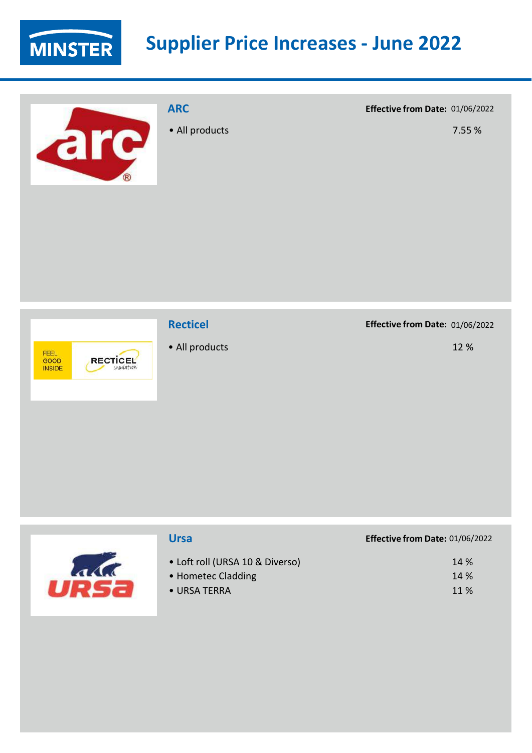

are

## **ARC**

• All products

**Effective from Date:** 01/06/2022

7.55 %



### **Recticel**

• All products

#### **Effective from Date:** 01/06/2022

| <b>Ursa</b>                                                           | Effective from Date: 01/06/2022 |
|-----------------------------------------------------------------------|---------------------------------|
| • Loft roll (URSA 10 & Diverso)<br>• Hometec Cladding<br>• URSA TERRA | 14 %<br>14 %<br>11 %            |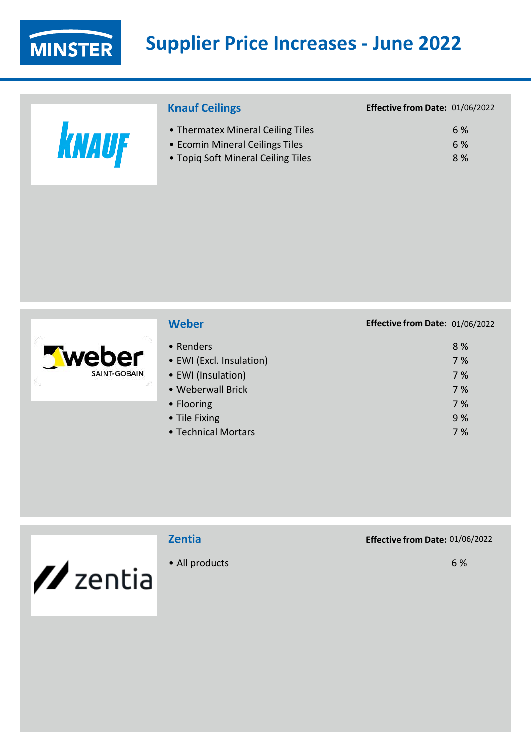

|       | <b>Knauf Ceilings</b>                                                | Effective from Date: 01/06/2022 |
|-------|----------------------------------------------------------------------|---------------------------------|
| KNAUF | • Thermatex Mineral Ceiling Tiles<br>• Ecomin Mineral Ceilings Tiles | 6 %<br>6 %                      |
|       | • Topig Soft Mineral Ceiling Tiles                                   | 8 %                             |
|       |                                                                      |                                 |



### **Weber Effective from Date:** 01/06/2022

| • Renders                | 8%  |
|--------------------------|-----|
| • EWI (Excl. Insulation) | 7 % |
| • EWI (Insulation)       | 7 % |
| · Weberwall Brick        | 7%  |
| • Flooring               | 7%  |
| • Tile Fixing            | 9 % |
| • Technical Mortars      | 7%  |
|                          |     |



## **Zentia**

• All products

**Effective from Date:** 01/06/2022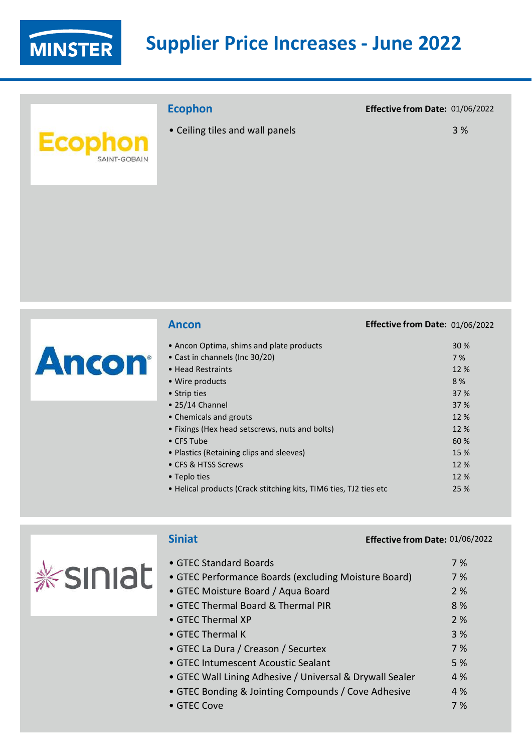

## **Ecophon**

• Ceiling tiles and wall panels

#### **Effective from Date:** 01/06/2022

|              | <b>Ancon</b>                                                      | Effective from Date: 01/06/2022 |      |
|--------------|-------------------------------------------------------------------|---------------------------------|------|
|              | • Ancon Optima, shims and plate products                          |                                 | 30 % |
|              | • Cast in channels (Inc 30/20)                                    |                                 | 7 %  |
| <b>Ancon</b> | • Head Restraints                                                 |                                 | 12 % |
|              | • Wire products                                                   |                                 | 8%   |
|              | • Strip ties                                                      |                                 | 37 % |
|              | $\bullet$ 25/14 Channel                                           |                                 | 37 % |
|              | • Chemicals and grouts                                            |                                 | 12 % |
|              | • Fixings (Hex head setscrews, nuts and bolts)                    |                                 | 12 % |
|              | $\bullet$ CFS Tube                                                |                                 | 60 % |
|              | • Plastics (Retaining clips and sleeves)                          |                                 | 15 % |
|              | • CFS & HTSS Screws                                               |                                 | 12 % |
|              | • Teplo ties                                                      |                                 | 12 % |
|              | • Helical products (Crack stitching kits, TIM6 ties, TJ2 ties etc |                                 | 25 % |

|                | <b>Siniat</b>                                            | Effective from Date: 01/06/2022 |
|----------------|----------------------------------------------------------|---------------------------------|
|                | • GTEC Standard Boards                                   | 7 %                             |
| <b>Ksiniat</b> | • GTEC Performance Boards (excluding Moisture Board)     | 7 %                             |
|                | • GTEC Moisture Board / Aqua Board                       | 2 %                             |
|                | • GTEC Thermal Board & Thermal PIR                       | 8 %                             |
|                | $\bullet$ GTEC Thermal XP                                | 2 %                             |
|                | • GTEC Thermal K                                         | 3 %                             |
|                | • GTEC La Dura / Creason / Securtex                      | 7 %                             |
|                | • GTEC Intumescent Acoustic Sealant                      | 5 %                             |
|                | • GTEC Wall Lining Adhesive / Universal & Drywall Sealer | 4 %                             |
|                | • GTEC Bonding & Jointing Compounds / Cove Adhesive      | 4 %                             |
|                | • GTEC Cove                                              | 7 %                             |
|                |                                                          |                                 |

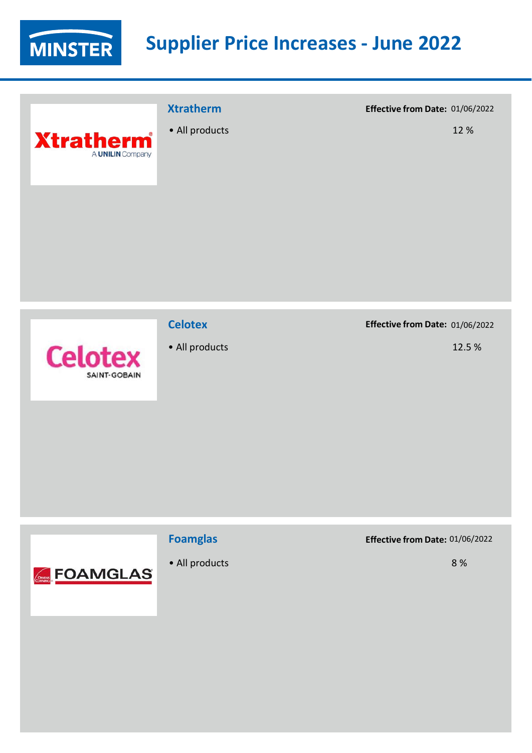

|                                      | <b>Xtratherm</b> | Effective from Date: 01/06/2022 |      |
|--------------------------------------|------------------|---------------------------------|------|
| <b>Xtratherm</b><br>A UNILIN Company | • All products   |                                 | 12 % |
|                                      |                  |                                 |      |



### **Celotex**

• All products

#### **Effective from Date:** 01/06/2022

12.5 %



## **Foamglas**

• All products

**Effective from Date:** 01/06/2022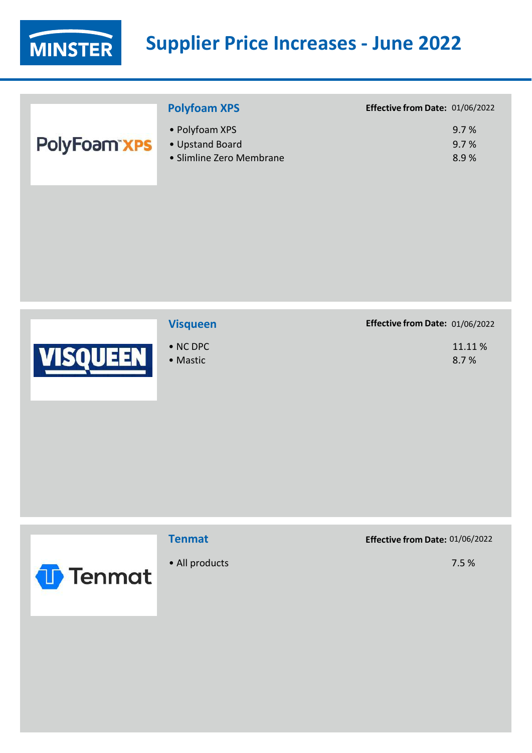

|                     | <b>Polyfoam XPS</b>                                           | Effective from Date: 01/06/2022 |
|---------------------|---------------------------------------------------------------|---------------------------------|
| <b>PolyFoam xPS</b> | • Polyfoam XPS<br>• Upstand Board<br>• Slimline Zero Membrane | 9.7%<br>9.7%<br>8.9%            |
|                     |                                                               |                                 |



### **Visqueen Effective from Date:** 01/06/2022

| $\bullet$ NC DPC | 11.11% |
|------------------|--------|
| • Mastic         | 8.7%   |
|                  |        |



### **Tenmat**

• All products

**Effective from Date:** 01/06/2022

7.5 %